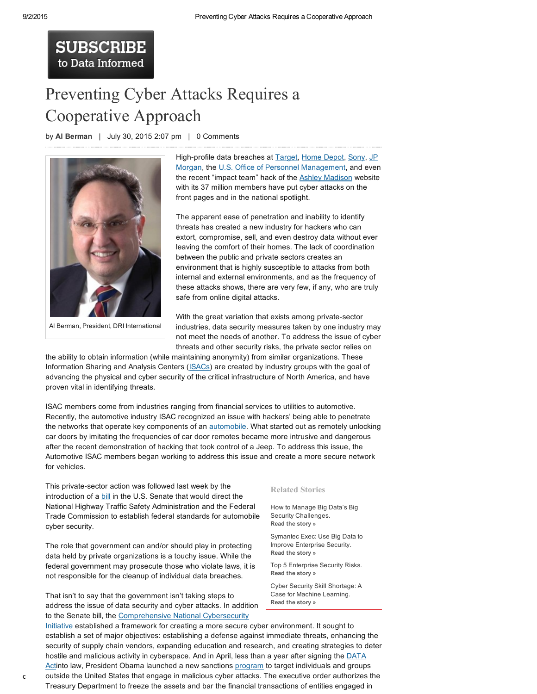## **SUBSCRIBE** to Data Informed

## Preventing Cyber Attacks Requires a [Cooperative](http://data-informed.com/preventing-cyber-attacks-requires-a-cooperative-approach/) Approach

by Al [Berman](http://data-informed.com/?s=Al+Berman) | July 30, 2015 2:07 pm | 0 Comments



Al Berman, President, DRI International

High-profile data breaches at [Target](http://www.npr.org/sections/thetwo-way/2015/03/19/394039055/target-offers-10-million-settlement-in-data-breach-lawsuit), [Home](http://www.wsj.com/articles/home-depot-breach-bigger-than-targets-1411073571) Depot, [Sony](http://www.wsj.com/articles/how-the-sony-data-breach-signals-a-paradigm-shift-in-cybersecurity-1423540851), JP Morgan, the U.S. Office of Personnel [Managemen](http://www.cnn.com/2015/07/09/politics/office-of-personnel-management-data-breach-20-million/)[t,](http://dealbook.nytimes.com/2014/12/22/entry-point-of-jpmorgan-data-breach-is-identified/?_r=0) and even the recent "impact team" hack of the **Ashley [Madison](http://www.washingtonpost.com/news/soloish/wp/2015/07/20/ashley-madisons-data-breach-is-a-warning-for-all-of-us-cheaters-or-not/)** website with its 37 million members have put cyber attacks on the front pages and in the national spotlight.

The apparent ease of penetration and inability to identify threats has created a new industry for hackers who can extort, compromise, sell, and even destroy data without ever leaving the comfort of their homes. The lack of coordination between the public and private sectors creates an environment that is highly susceptible to attacks from both internal and external environments, and as the frequency of these attacks shows, there are very few, if any, who are truly safe from online digital attacks.

With the great variation that exists among private-sector industries, data security measures taken by one industry may not meet the needs of another. To address the issue of cyber threats and other security risks, the private sector relies on

the ability to obtain information (while maintaining anonymity) from similar organizations. These Information Sharing and Analysis Centers ([ISACs](http://www.isaccouncil.org/)) are created by industry groups with the goal of advancing the physical and cyber security of the critical infrastructure of North America, and have proven vital in identifying threats.

ISAC members come from industries ranging from financial services to utilities to automotive. Recently, the automotive industry ISAC recognized an issue with hackers' being able to penetrate the networks that operate key components of an **automobile**. What started out as remotely unlocking car doors by imitating the frequencies of car door remotes became more intrusive and dangerous after the recent demonstration of hacking that took control of a Jeep. To address this issue, the Automotive ISAC members began working to address this issue and create a more secure network for vehicles.

This private-sector action was followed last week by the introduction of a **[bill](http://www.markey.senate.gov/news/press-releases/sens-markey-blumenthal-introduce-legislation-to-protect-drivers-from-auto-security-privacy-risks-with-standards-and-cyber-dashboard-rating-system)** in the U.S. Senate that would direct the National Highway Traffic Safety Administration and the Federal Trade Commission to establish federal standards for automobile cyber security.

The role that government can and/or should play in protecting data held by private organizations is a touchy issue. While the federal government may prosecute those who violate laws, it is not responsible for the cleanup of individual data breaches.

That isn't to say that the government isn't taking steps to address the issue of data security and cyber attacks. In addition to the Senate bill, the [Comprehensive](https://www.whitehouse.gov/issues/foreign-policy/cybersecurity/national-initiative) National Cybersecurity

## Related Stories

How to Manage Big Data's Big Security Challenges. Read the [story](http://data-informed.com/manage-big-datas-big-security-challenges/) »

Symantec Exec: Use Big Data to Improve Enterprise Security. Read the [story](http://data-informed.com/symantec-exec-use-big-data-to-improve-enterprise-security/) »

Top 5 Enterprise Security Risks. Read the [story](http://data-informed.com/the-top-5-enterprise-security-risks/) »

Cyber Security Skill Shortage: A Case for Machine Learning. Read the [story](http://data-informed.com/cyber-security-skill-shortage-case-machine-learning/) »

 $\mathsf c$  outside the United States that engage in malicious cyber attacks. The executive order authorizes the Initiative established a framework for creating a more secure cyber environment. It sought to establish a set of major objectives: establishing a defense against immediate threats, enhancing the security of supply chain vendors, expanding education and research, and creating strategies to deter hostile and malicious activity in [cyberspace.](http://data-informed.com/a-year-later-data-act-reflects-the-value-of-open-information/) And in April, less than a year after signing the DATA Actinto law, President Obama launched a new sanctions [program](https://www.whitehouse.gov/blog/2015/04/01/our-latest-tool-combat-cyber-attacks-what-you-need-know) to target individuals and groups Treasury Department to freeze the assets and bar the financial transactions of entities engaged in